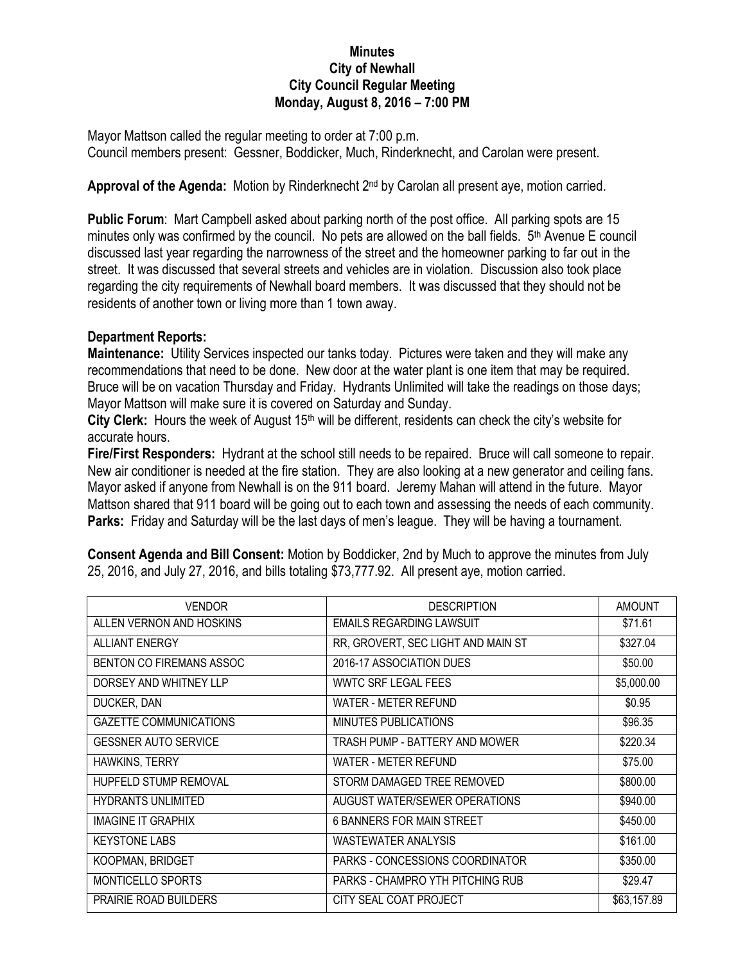## **Minutes City of Newhall City Council Regular Meeting Monday, August 8, 2016 – 7:00 PM**

Mayor Mattson called the regular meeting to order at 7:00 p.m. Council members present: Gessner, Boddicker, Much, Rinderknecht, and Carolan were present.

## Approval of the Agenda: Motion by Rinderknecht 2<sup>nd</sup> by Carolan all present aye, motion carried.

**Public Forum**: Mart Campbell asked about parking north of the post office. All parking spots are 15 minutes only was confirmed by the council. No pets are allowed on the ball fields.  $5<sup>th</sup>$  Avenue E council discussed last year regarding the narrowness of the street and the homeowner parking to far out in the street. It was discussed that several streets and vehicles are in violation. Discussion also took place regarding the city requirements of Newhall board members. It was discussed that they should not be residents of another town or living more than 1 town away.

## **Department Reports:**

**Maintenance:** Utility Services inspected our tanks today. Pictures were taken and they will make any recommendations that need to be done. New door at the water plant is one item that may be required. Bruce will be on vacation Thursday and Friday. Hydrants Unlimited will take the readings on those days; Mayor Mattson will make sure it is covered on Saturday and Sunday.

**City Clerk:** Hours the week of August 15<sup>th</sup> will be different, residents can check the city's website for accurate hours.

**Fire/First Responders:** Hydrant at the school still needs to be repaired. Bruce will call someone to repair. New air conditioner is needed at the fire station. They are also looking at a new generator and ceiling fans. Mayor asked if anyone from Newhall is on the 911 board. Jeremy Mahan will attend in the future. Mayor Mattson shared that 911 board will be going out to each town and assessing the needs of each community. **Parks:** Friday and Saturday will be the last days of men's league. They will be having a tournament.

**Consent Agenda and Bill Consent:** Motion by Boddicker, 2nd by Much to approve the minutes from July 25, 2016, and July 27, 2016, and bills totaling \$73,777.92. All present aye, motion carried.

| <b>VENDOR</b>                 | <b>DESCRIPTION</b>                 | <b>AMOUNT</b> |
|-------------------------------|------------------------------------|---------------|
| ALLEN VERNON AND HOSKINS      | <b>EMAILS REGARDING LAWSUIT</b>    | \$71.61       |
| <b>ALLIANT ENERGY</b>         | RR, GROVERT, SEC LIGHT AND MAIN ST | \$327.04      |
| BENTON CO FIREMANS ASSOC      | 2016-17 ASSOCIATION DUES           | \$50.00       |
| DORSEY AND WHITNEY LLP        | <b>WWTC SRF LEGAL FEES</b>         | \$5,000.00    |
| DUCKER, DAN                   | <b>WATER - METER REFUND</b>        | \$0.95        |
| <b>GAZETTE COMMUNICATIONS</b> | MINUTES PUBLICATIONS               | \$96.35       |
| <b>GESSNER AUTO SERVICE</b>   | TRASH PUMP - BATTERY AND MOWER     | \$220.34      |
| HAWKINS, TERRY                | WATER - METER REFUND               | \$75.00       |
| <b>HUPFELD STUMP REMOVAL</b>  | STORM DAMAGED TREE REMOVED         | \$800.00      |
| <b>HYDRANTS UNLIMITED</b>     | AUGUST WATER/SEWER OPERATIONS      | \$940.00      |
| <b>IMAGINE IT GRAPHIX</b>     | <b>6 BANNERS FOR MAIN STREET</b>   | \$450.00      |
| <b>KEYSTONE LABS</b>          | <b>WASTEWATER ANALYSIS</b>         | \$161.00      |
| KOOPMAN, BRIDGET              | PARKS - CONCESSIONS COORDINATOR    | \$350.00      |
| <b>MONTICELLO SPORTS</b>      | PARKS - CHAMPRO YTH PITCHING RUB   | \$29.47       |
| <b>PRAIRIE ROAD BUILDERS</b>  | CITY SEAL COAT PROJECT             | \$63,157.89   |